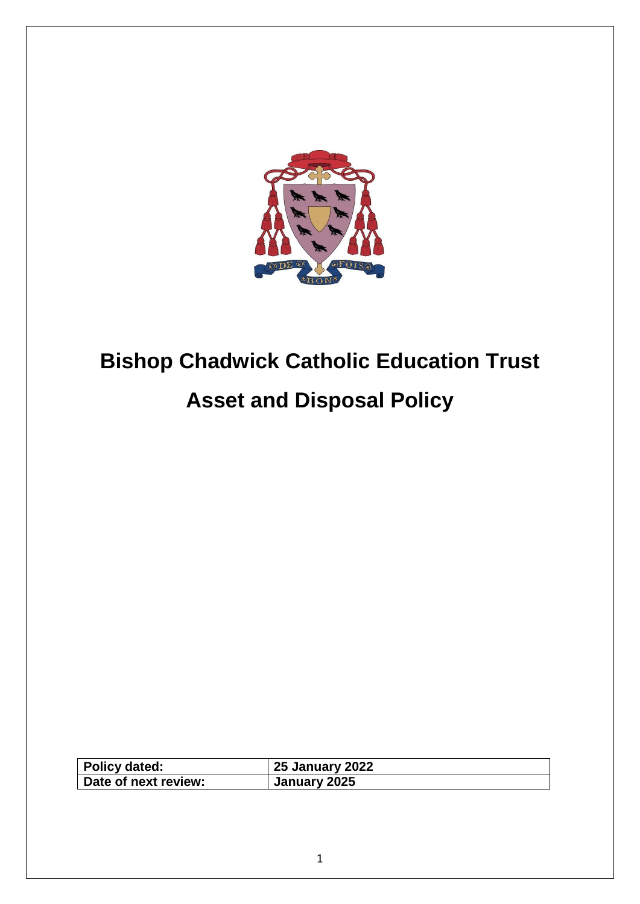

# **Bishop Chadwick Catholic Education Trust Asset and Disposal Policy**

| Policy dated:        | <b>25 January 2022</b> |
|----------------------|------------------------|
| Date of next review: | January 2025           |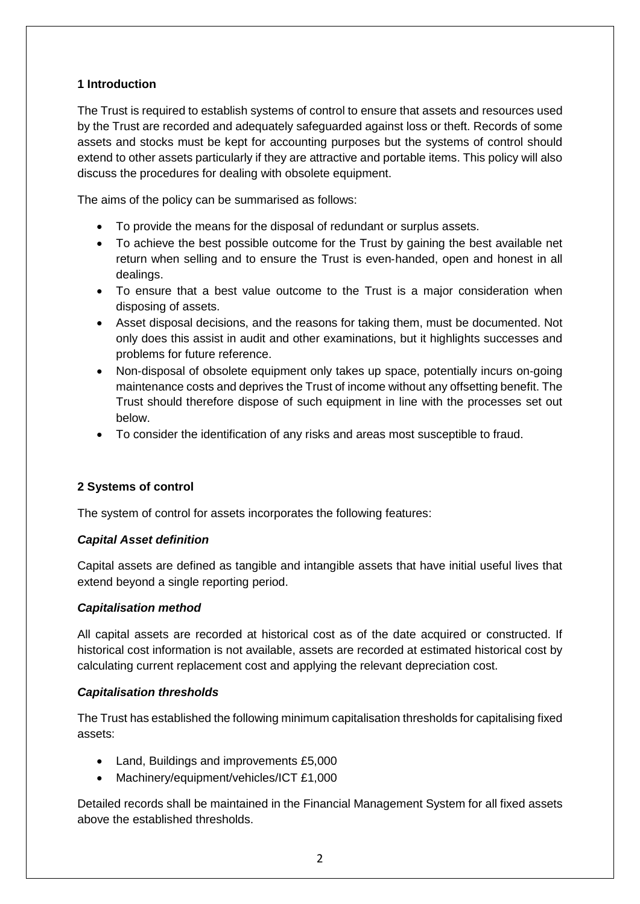# **1 Introduction**

The Trust is required to establish systems of control to ensure that assets and resources used by the Trust are recorded and adequately safeguarded against loss or theft. Records of some assets and stocks must be kept for accounting purposes but the systems of control should extend to other assets particularly if they are attractive and portable items. This policy will also discuss the procedures for dealing with obsolete equipment.

The aims of the policy can be summarised as follows:

- To provide the means for the disposal of redundant or surplus assets.
- To achieve the best possible outcome for the Trust by gaining the best available net return when selling and to ensure the Trust is even‐handed, open and honest in all dealings.
- To ensure that a best value outcome to the Trust is a major consideration when disposing of assets.
- Asset disposal decisions, and the reasons for taking them, must be documented. Not only does this assist in audit and other examinations, but it highlights successes and problems for future reference.
- Non-disposal of obsolete equipment only takes up space, potentially incurs on-going maintenance costs and deprives the Trust of income without any offsetting benefit. The Trust should therefore dispose of such equipment in line with the processes set out below.
- To consider the identification of any risks and areas most susceptible to fraud.

# **2 Systems of control**

The system of control for assets incorporates the following features:

#### *Capital Asset definition*

Capital assets are defined as tangible and intangible assets that have initial useful lives that extend beyond a single reporting period.

#### *Capitalisation method*

All capital assets are recorded at historical cost as of the date acquired or constructed. If historical cost information is not available, assets are recorded at estimated historical cost by calculating current replacement cost and applying the relevant depreciation cost.

#### *Capitalisation thresholds*

The Trust has established the following minimum capitalisation thresholds for capitalising fixed assets:

- Land, Buildings and improvements £5,000
- Machinery/equipment/vehicles/ICT £1,000

Detailed records shall be maintained in the Financial Management System for all fixed assets above the established thresholds.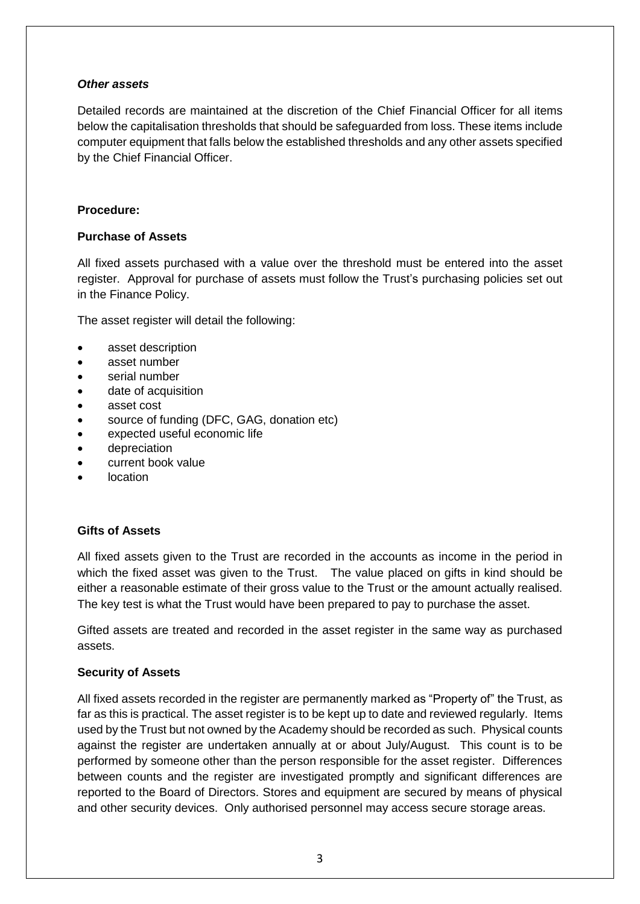#### *Other assets*

Detailed records are maintained at the discretion of the Chief Financial Officer for all items below the capitalisation thresholds that should be safeguarded from loss. These items include computer equipment that falls below the established thresholds and any other assets specified by the Chief Financial Officer.

## **Procedure:**

#### **Purchase of Assets**

All fixed assets purchased with a value over the threshold must be entered into the asset register. Approval for purchase of assets must follow the Trust's purchasing policies set out in the Finance Policy.

The asset register will detail the following:

- asset description
- asset number
- serial number
- date of acquisition
- asset cost
- source of funding (DFC, GAG, donation etc)
- expected useful economic life
- depreciation
- current book value
- location

# **Gifts of Assets**

All fixed assets given to the Trust are recorded in the accounts as income in the period in which the fixed asset was given to the Trust. The value placed on gifts in kind should be either a reasonable estimate of their gross value to the Trust or the amount actually realised. The key test is what the Trust would have been prepared to pay to purchase the asset.

Gifted assets are treated and recorded in the asset register in the same way as purchased assets.

#### **Security of Assets**

All fixed assets recorded in the register are permanently marked as "Property of" the Trust, as far as this is practical. The asset register is to be kept up to date and reviewed regularly. Items used by the Trust but not owned by the Academy should be recorded as such. Physical counts against the register are undertaken annually at or about July/August. This count is to be performed by someone other than the person responsible for the asset register. Differences between counts and the register are investigated promptly and significant differences are reported to the Board of Directors. Stores and equipment are secured by means of physical and other security devices. Only authorised personnel may access secure storage areas.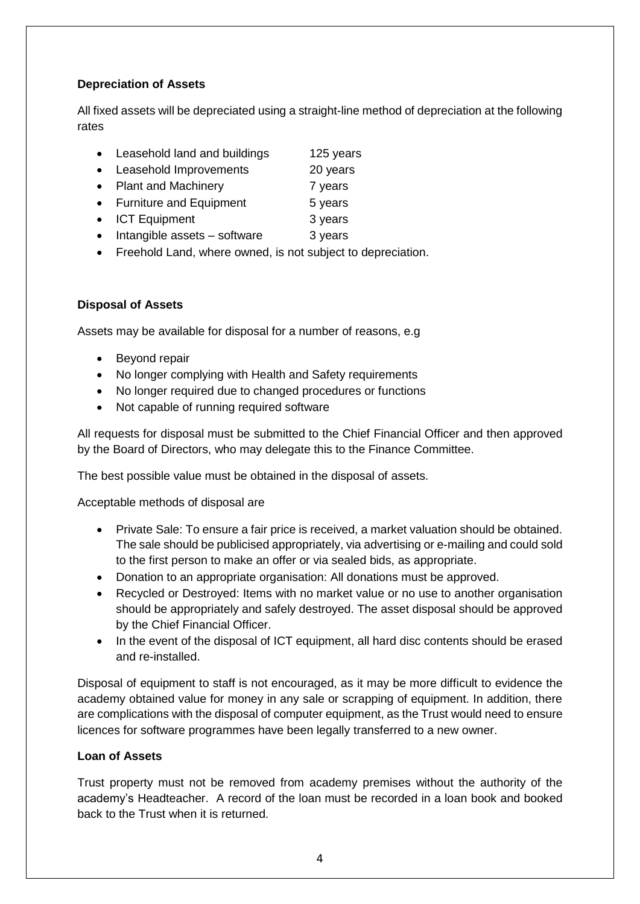# **Depreciation of Assets**

All fixed assets will be depreciated using a straight-line method of depreciation at the following rates

- Leasehold land and buildings 125 years
- Leasehold Improvements 20 years
- Plant and Machinery 7 years
- Furniture and Equipment 5 years
- ICT Equipment 3 years
	- Intangible assets  $-$  software  $3$  years
- Freehold Land, where owned, is not subject to depreciation.

# **Disposal of Assets**

Assets may be available for disposal for a number of reasons, e.g

- Beyond repair
- No longer complying with Health and Safety requirements
- No longer required due to changed procedures or functions
- Not capable of running required software

All requests for disposal must be submitted to the Chief Financial Officer and then approved by the Board of Directors, who may delegate this to the Finance Committee.

The best possible value must be obtained in the disposal of assets.

Acceptable methods of disposal are

- Private Sale: To ensure a fair price is received, a market valuation should be obtained. The sale should be publicised appropriately, via advertising or e-mailing and could sold to the first person to make an offer or via sealed bids, as appropriate.
- Donation to an appropriate organisation: All donations must be approved.
- Recycled or Destroyed: Items with no market value or no use to another organisation should be appropriately and safely destroyed. The asset disposal should be approved by the Chief Financial Officer.
- In the event of the disposal of ICT equipment, all hard disc contents should be erased and re-installed.

Disposal of equipment to staff is not encouraged, as it may be more difficult to evidence the academy obtained value for money in any sale or scrapping of equipment. In addition, there are complications with the disposal of computer equipment, as the Trust would need to ensure licences for software programmes have been legally transferred to a new owner.

# **Loan of Assets**

Trust property must not be removed from academy premises without the authority of the academy's Headteacher. A record of the loan must be recorded in a loan book and booked back to the Trust when it is returned.